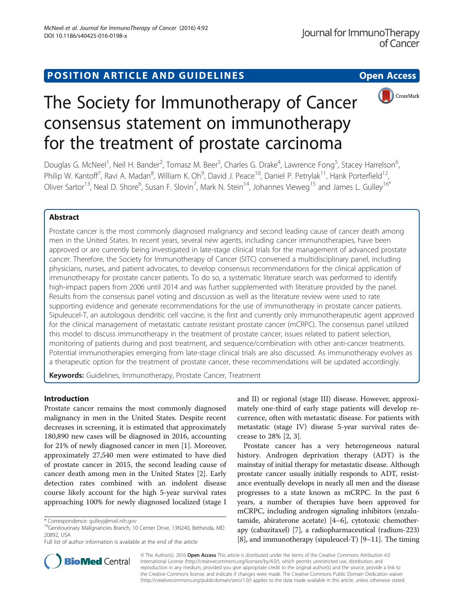# POSITION ARTICLE AND GUIDELINES **Solution CONTROL** POSITION ARTICLE AND GUIDELINES



# The Society for Immunotherapy of Cancer consensus statement on immunotherapy for the treatment of prostate carcinoma

Douglas G. McNeel<sup>1</sup>, Neil H. Bander<sup>2</sup>, Tomasz M. Beer<sup>3</sup>, Charles G. Drake<sup>4</sup>, Lawrence Fong<sup>5</sup>, Stacey Harrelson<sup>6</sup> , Philip W. Kantoff<sup>7</sup>, Ravi A. Madan<sup>8</sup>, William K. Oh<sup>9</sup>, David J. Peace<sup>10</sup>, Daniel P. Petrylak<sup>11</sup>, Hank Porterfield<sup>12</sup>, Oliver Sartor<sup>13</sup>, Neal D. Shore<sup>6</sup>, Susan F. Slovin<sup>7</sup>, Mark N. Stein<sup>14</sup>, Johannes Vieweg<sup>15</sup> and James L. Gulley<sup>16\*</sup>

## Abstract

Prostate cancer is the most commonly diagnosed malignancy and second leading cause of cancer death among men in the United States. In recent years, several new agents, including cancer immunotherapies, have been approved or are currently being investigated in late-stage clinical trials for the management of advanced prostate cancer. Therefore, the Society for Immunotherapy of Cancer (SITC) convened a multidisciplinary panel, including physicians, nurses, and patient advocates, to develop consensus recommendations for the clinical application of immunotherapy for prostate cancer patients. To do so, a systematic literature search was performed to identify high-impact papers from 2006 until 2014 and was further supplemented with literature provided by the panel. Results from the consensus panel voting and discussion as well as the literature review were used to rate supporting evidence and generate recommendations for the use of immunotherapy in prostate cancer patients. Sipuleucel-T, an autologous dendritic cell vaccine, is the first and currently only immunotherapeutic agent approved for the clinical management of metastatic castrate resistant prostate cancer (mCRPC). The consensus panel utilized this model to discuss immunotherapy in the treatment of prostate cancer, issues related to patient selection, monitoring of patients during and post treatment, and sequence/combination with other anti-cancer treatments. Potential immunotherapies emerging from late-stage clinical trials are also discussed. As immunotherapy evolves as a therapeutic option for the treatment of prostate cancer, these recommendations will be updated accordingly.

Keywords: Guidelines, Immunotherapy, Prostate Cancer, Treatment

## Introduction

Prostate cancer remains the most commonly diagnosed malignancy in men in the United States. Despite recent decreases in screening, it is estimated that approximately 180,890 new cases will be diagnosed in 2016, accounting for 21% of newly diagnosed cancer in men [\[1\]](#page-9-0). Moreover, approximately 27,540 men were estimated to have died of prostate cancer in 2015, the second leading cause of cancer death among men in the United States [\[2\]](#page-9-0). Early detection rates combined with an indolent disease course likely account for the high 5-year survival rates approaching 100% for newly diagnosed localized (stage I

and II) or regional (stage III) disease. However, approximately one-third of early stage patients will develop recurrence, often with metastatic disease. For patients with metastatic (stage IV) disease 5-year survival rates decrease to 28% [[2, 3\]](#page-9-0).

Prostate cancer has a very heterogeneous natural history. Androgen deprivation therapy (ADT) is the mainstay of initial therapy for metastatic disease. Although prostate cancer usually initially responds to ADT, resistance eventually develops in nearly all men and the disease progresses to a state known as mCRPC. In the past 6 years, a number of therapies have been approved for mCRPC, including androgen signaling inhibitors (enzalutamide, abiraterone acetate) [\[4](#page-9-0)–[6\]](#page-9-0), cytotoxic chemotherapy (cabazitaxel) [[7](#page-9-0)], a radiopharmaceutical (radium-223) [[8\]](#page-9-0), and immunotherapy (sipuleucel-T) [[9](#page-9-0)–[11](#page-9-0)]. The timing



© The Author(s). 2016 Open Access This article is distributed under the terms of the Creative Commons Attribution 4.0 International License [\(http://creativecommons.org/licenses/by/4.0/](http://creativecommons.org/licenses/by/4.0/)), which permits unrestricted use, distribution, and reproduction in any medium, provided you give appropriate credit to the original author(s) and the source, provide a link to the Creative Commons license, and indicate if changes were made. The Creative Commons Public Domain Dedication waiver [\(http://creativecommons.org/publicdomain/zero/1.0/](http://creativecommons.org/publicdomain/zero/1.0/)) applies to the data made available in this article, unless otherwise stated.

<sup>\*</sup> Correspondence: [gulleyj@mail.nih.gov](mailto:gulleyj@mail.nih.gov)<br><sup>16</sup>Genitourinary Malignancies Branch, 10 Center Drive, 13N240, Bethesda, MD 20892, USA

Full list of author information is available at the end of the article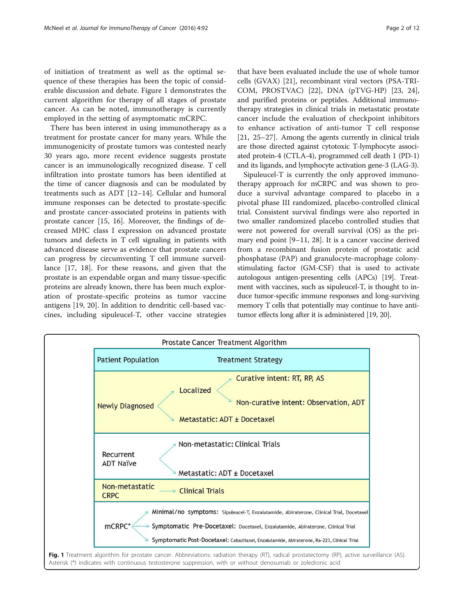of initiation of treatment as well as the optimal sequence of these therapies has been the topic of considerable discussion and debate. Figure 1 demonstrates the current algorithm for therapy of all stages of prostate cancer. As can be noted, immunotherapy is currently employed in the setting of asymptomatic mCRPC.

There has been interest in using immunotherapy as a treatment for prostate cancer for many years. While the immunogenicity of prostate tumors was contested nearly 30 years ago, more recent evidence suggests prostate cancer is an immunologically recognized disease. T cell infiltration into prostate tumors has been identified at the time of cancer diagnosis and can be modulated by treatments such as ADT [[12](#page-9-0)–[14](#page-9-0)]. Cellular and humoral immune responses can be detected to prostate-specific and prostate cancer-associated proteins in patients with prostate cancer [[15](#page-9-0), [16\]](#page-9-0). Moreover, the findings of decreased MHC class I expression on advanced prostate tumors and defects in T cell signaling in patients with advanced disease serve as evidence that prostate cancers can progress by circumventing T cell immune surveillance [\[17](#page-9-0), [18\]](#page-9-0). For these reasons, and given that the prostate is an expendable organ and many tissue-specific proteins are already known, there has been much exploration of prostate-specific proteins as tumor vaccine antigens [[19, 20\]](#page-9-0). In addition to dendritic cell-based vaccines, including sipuleucel-T, other vaccine strategies

that have been evaluated include the use of whole tumor cells (GVAX) [\[21](#page-9-0)], recombinant viral vectors (PSA-TRI-COM, PROSTVAC) [\[22\]](#page-10-0), DNA (pTVG-HP) [[23](#page-10-0), [24](#page-10-0)], and purified proteins or peptides. Additional immunotherapy strategies in clinical trials in metastatic prostate cancer include the evaluation of checkpoint inhibitors to enhance activation of anti-tumor T cell response [[21,](#page-9-0) [25](#page-10-0)–[27\]](#page-10-0). Among the agents currently in clinical trials are those directed against cytotoxic T-lymphocyte associated protein-4 (CTLA-4), programmed cell death 1 (PD-1) and its ligands, and lymphocyte activation gene-3 (LAG-3).

Sipuleucel-T is currently the only approved immunotherapy approach for mCRPC and was shown to produce a survival advantage compared to placebo in a pivotal phase III randomized, placebo-controlled clinical trial. Consistent survival findings were also reported in two smaller randomized placebo controlled studies that were not powered for overall survival (OS) as the primary end point [\[9](#page-9-0)–[11](#page-9-0), [28](#page-10-0)]. It is a cancer vaccine derived from a recombinant fusion protein of prostatic acid phosphatase (PAP) and granulocyte-macrophage colonystimulating factor (GM-CSF) that is used to activate autologous antigen-presenting cells (APCs) [\[19\]](#page-9-0). Treatment with vaccines, such as sipuleucel-T, is thought to induce tumor-specific immune responses and long-surviving memory T cells that potentially may continue to have antitumor effects long after it is administered [[19](#page-9-0), [20](#page-9-0)].

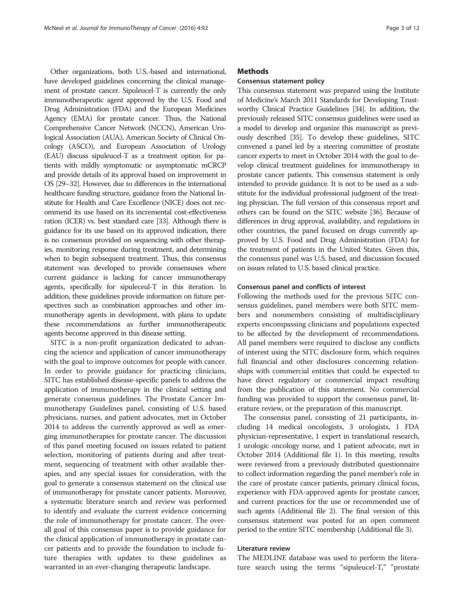Other organizations, both U.S.-based and international, have developed guidelines concerning the clinical management of prostate cancer. Sipuleucel-T is currently the only immunotherapeutic agent approved by the U.S. Food and Drug Administration (FDA) and the European Medicines Agency (EMA) for prostate cancer. Thus, the National Comprehensive Cancer Network (NCCN), American Urological Association (AUA), American Society of Clinical Oncology (ASCO), and European Association of Urology (EAU) discuss sipuleucel-T as a treatment option for patients with mildly symptomatic or asymptomatic mCRCP and provide details of its approval based on improvement in OS [\[29](#page-10-0)–[32\]](#page-10-0). However, due to differences in the international healthcare funding structure, guidance from the National Institute for Health and Care Excellence (NICE) does not recommend its use based on its incremental cost-effectiveness ration (ICER) vs. best standard care [\[33](#page-10-0)]. Although there is guidance for its use based on its approved indication, there is no consensus provided on sequencing with other therapies, monitoring response during treatment, and determining when to begin subsequent treatment. Thus, this consensus statement was developed to provide consensuses where current guidance is lacking for cancer immunotherapy agents, specifically for sipuleceul-T in this iteration. In addition, these guidelines provide information on future perspectives such as combination approaches and other immunotherapy agents in development, with plans to update these recommendations as further immunotherapeutic agents become approved in this disease setting.

SITC is a non-profit organization dedicated to advancing the science and application of cancer immunotherapy with the goal to improve outcomes for people with cancer. In order to provide guidance for practicing clinicians, SITC has established disease-specific panels to address the application of immunotherapy in the clinical setting and generate consensus guidelines. The Prostate Cancer Immunotherapy Guidelines panel, consisting of U.S. based physicians, nurses, and patient advocates, met in October 2014 to address the currently approved as well as emerging immunotherapies for prostate cancer. The discussion of this panel meeting focused on issues related to patient selection, monitoring of patients during and after treatment, sequencing of treatment with other available therapies, and any special issues for consideration, with the goal to generate a consensus statement on the clinical use of immunotherapy for prostate cancer patients. Moreover, a systematic literature search and review was performed to identify and evaluate the current evidence concerning the role of immunotherapy for prostate cancer. The overall goal of this consensus paper is to provide guidance for the clinical application of immunotherapy in prostate cancer patients and to provide the foundation to include future therapies with updates to these guidelines as warranted in an ever-changing therapeutic landscape.

## **Methods**

#### Consensus statement policy

This consensus statement was prepared using the Institute of Medicine's March 2011 Standards for Developing Trustworthy Clinical Practice Guidelines [[34\]](#page-10-0). In addition, the previously released SITC consensus guidelines were used as a model to develop and organize this manuscript as previously described [\[35\]](#page-10-0). To develop these guidelines, SITC convened a panel led by a steering committee of prostate cancer experts to meet in October 2014 with the goal to develop clinical treatment guidelines for immunotherapy in prostate cancer patients. This consensus statement is only intended to provide guidance. It is not to be used as a substitute for the individual professional judgment of the treating physician. The full version of this consensus report and others can be found on the SITC website [\[36\]](#page-10-0). Because of differences in drug approval, availability, and regulations in other countries, the panel focused on drugs currently approved by U.S. Food and Drug Administration (FDA) for the treatment of patients in the United States. Given this, the consensus panel was U.S. based, and discussion focused on issues related to U.S. based clinical practice.

#### Consensus panel and conflicts of interest

Following the methods used for the previous SITC consensus guidelines, panel members were both SITC members and nonmembers consisting of multidisciplinary experts encompassing clinicians and populations expected to be affected by the development of recommendations. All panel members were required to disclose any conflicts of interest using the SITC disclosure form, which requires full financial and other disclosures concerning relationships with commercial entities that could be expected to have direct regulatory or commercial impact resulting from the publication of this statement. No commercial funding was provided to support the consensus panel, literature review, or the preparation of this manuscript.

The consensus panel, consisting of 21 participants, including 14 medical oncologists, 3 urologists, 1 FDA physician-representative, 1 expert in translational research, 1 urologic oncology nurse, and 1 patient advocate, met in October 2014 (Additional file [1](#page-8-0)). In this meeting, results were reviewed from a previously distributed questionnaire to collect information regarding the panel member's role in the care of prostate cancer patients, primary clinical focus, experience with FDA-approved agents for prostate cancer, and current practices for the use or recommended use of such agents (Additional file [2\)](#page-8-0). The final version of this consensus statement was posted for an open comment period to the entire SITC membership (Additional file [3](#page-8-0)).

## Literature review

The MEDLINE database was used to perform the literature search using the terms "sipuleucel-T," "prostate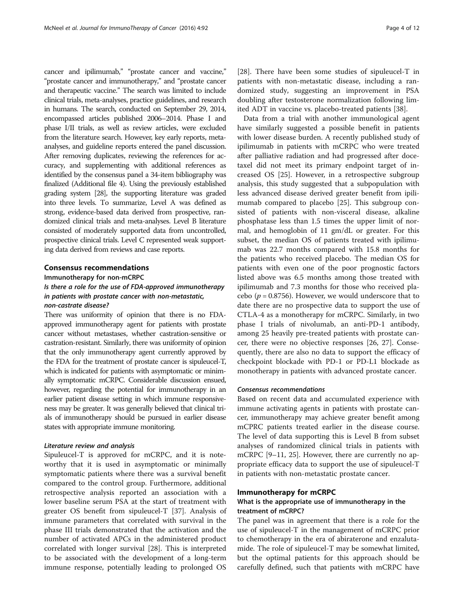cancer and ipilimumab," "prostate cancer and vaccine," "prostate cancer and immunotherapy," and "prostate cancer and therapeutic vaccine." The search was limited to include clinical trials, meta-analyses, practice guidelines, and research in humans. The search, conducted on September 29, 2014, encompassed articles published 2006–2014. Phase I and phase I/II trials, as well as review articles, were excluded from the literature search. However, key early reports, metaanalyses, and guideline reports entered the panel discussion. After removing duplicates, reviewing the references for accuracy, and supplementing with additional references as identified by the consensus panel a 34-item bibliography was finalized (Additional file [4\)](#page-8-0). Using the previously established grading system [\[28](#page-10-0)], the supporting literature was graded into three levels. To summarize, Level A was defined as strong, evidence-based data derived from prospective, randomized clinical trials and meta-analyses. Level B literature consisted of moderately supported data from uncontrolled, prospective clinical trials. Level C represented weak supporting data derived from reviews and case reports.

## Consensus recommendations

Immunotherapy for non-mCRPC Is there a role for the use of FDA-approved immunotherapy in patients with prostate cancer with non-metastatic,

#### non-castrate disease?

There was uniformity of opinion that there is no FDAapproved immunotherapy agent for patients with prostate cancer without metastases, whether castration-sensitive or castration-resistant. Similarly, there was uniformity of opinion that the only immunotherapy agent currently approved by the FDA for the treatment of prostate cancer is sipuleucel-T, which is indicated for patients with asymptomatic or minimally symptomatic mCRPC. Considerable discussion ensued, however, regarding the potential for immunotherapy in an earlier patient disease setting in which immune responsiveness may be greater. It was generally believed that clinical trials of immunotherapy should be pursued in earlier disease states with appropriate immune monitoring.

## Literature review and analysis

Sipuleucel-T is approved for mCRPC, and it is noteworthy that it is used in asymptomatic or minimally symptomatic patients where there was a survival benefit compared to the control group. Furthermore, additional retrospective analysis reported an association with a lower baseline serum PSA at the start of treatment with greater OS benefit from sipuleucel-T [[37\]](#page-10-0). Analysis of immune parameters that correlated with survival in the phase III trials demonstrated that the activation and the number of activated APCs in the administered product correlated with longer survival [\[28\]](#page-10-0). This is interpreted to be associated with the development of a long-term immune response, potentially leading to prolonged OS

[[28\]](#page-10-0). There have been some studies of sipuleucel-T in patients with non-metastatic disease, including a randomized study, suggesting an improvement in PSA doubling after testosterone normalization following limited ADT in vaccine vs. placebo-treated patients [\[38](#page-10-0)].

Data from a trial with another immunological agent have similarly suggested a possible benefit in patients with lower disease burden. A recently published study of ipilimumab in patients with mCRPC who were treated after palliative radiation and had progressed after docetaxel did not meet its primary endpoint target of increased OS [[25\]](#page-10-0). However, in a retrospective subgroup analysis, this study suggested that a subpopulation with less advanced disease derived greater benefit from ipilimumab compared to placebo [[25\]](#page-10-0). This subgroup consisted of patients with non-visceral disease, alkaline phosphatase less than 1.5 times the upper limit of normal, and hemoglobin of 11 gm/dL or greater. For this subset, the median OS of patients treated with ipilimumab was 22.7 months compared with 15.8 months for the patients who received placebo. The median OS for patients with even one of the poor prognostic factors listed above was 6.5 months among those treated with ipilimumab and 7.3 months for those who received placebo ( $p = 0.8756$ ). However, we would underscore that to date there are no prospective data to support the use of CTLA-4 as a monotherapy for mCRPC. Similarly, in two phase I trials of nivolumab, an anti-PD-1 antibody, among 25 heavily pre-treated patients with prostate cancer, there were no objective responses [[26, 27\]](#page-10-0). Consequently, there are also no data to support the efficacy of checkpoint blockade with PD-1 or PD-L1 blockade as monotherapy in patients with advanced prostate cancer.

#### Consensus recommendations

Based on recent data and accumulated experience with immune activating agents in patients with prostate cancer, immunotherapy may achieve greater benefit among mCPRC patients treated earlier in the disease course. The level of data supporting this is Level B from subset analyses of randomized clinical trials in patients with mCRPC [\[9](#page-9-0)–[11](#page-9-0), [25](#page-10-0)]. However, there are currently no appropriate efficacy data to support the use of sipuleucel-T in patients with non-metastatic prostate cancer.

## Immunotherapy for mCRPC

## What is the appropriate use of immunotherapy in the treatment of mCRPC?

The panel was in agreement that there is a role for the use of sipuleucel-T in the management of mCRPC prior to chemotherapy in the era of abiraterone and enzalutamide. The role of sipuleucel-T may be somewhat limited, but the optimal patients for this approach should be carefully defined, such that patients with mCRPC have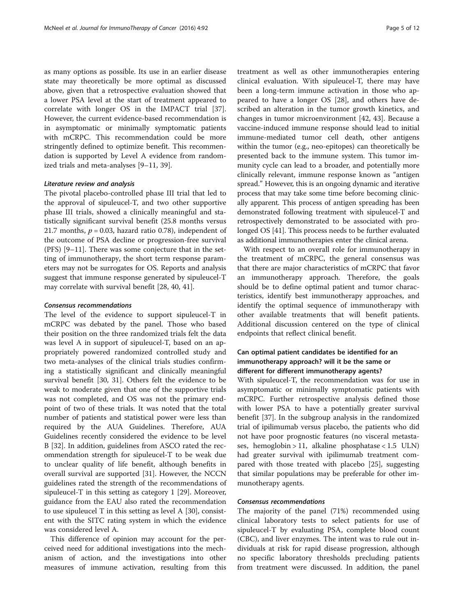as many options as possible. Its use in an earlier disease state may theoretically be more optimal as discussed above, given that a retrospective evaluation showed that a lower PSA level at the start of treatment appeared to correlate with longer OS in the IMPACT trial [\[37](#page-10-0)]. However, the current evidence-based recommendation is in asymptomatic or minimally symptomatic patients with mCRPC. This recommendation could be more stringently defined to optimize benefit. This recommendation is supported by Level A evidence from randomized trials and meta-analyses [\[9](#page-9-0)–[11,](#page-9-0) [39\]](#page-10-0).

#### Literature review and analysis

The pivotal placebo-controlled phase III trial that led to the approval of sipuleucel-T, and two other supportive phase III trials, showed a clinically meaningful and statistically significant survival benefit (25.8 months versus 21.7 months,  $p = 0.03$ , hazard ratio 0.78), independent of the outcome of PSA decline or progression-free survival (PFS) [[9](#page-9-0)–[11\]](#page-9-0). There was some conjecture that in the setting of immunotherapy, the short term response parameters may not be surrogates for OS. Reports and analysis suggest that immune response generated by sipuleucel-T may correlate with survival benefit [[28, 40](#page-10-0), [41](#page-10-0)].

#### Consensus recommendations

The level of the evidence to support sipuleucel-T in mCRPC was debated by the panel. Those who based their position on the three randomized trials felt the data was level A in support of sipuleucel-T, based on an appropriately powered randomized controlled study and two meta-analyses of the clinical trials studies confirming a statistically significant and clinically meaningful survival benefit [[30](#page-10-0), [31](#page-10-0)]. Others felt the evidence to be weak to moderate given that one of the supportive trials was not completed, and OS was not the primary endpoint of two of these trials. It was noted that the total number of patients and statistical power were less than required by the AUA Guidelines. Therefore, AUA Guidelines recently considered the evidence to be level B [[32\]](#page-10-0). In addition, guidelines from ASCO rated the recommendation strength for sipuleucel-T to be weak due to unclear quality of life benefit, although benefits in overall survival are supported [[31\]](#page-10-0). However, the NCCN guidelines rated the strength of the recommendations of sipuleucel-T in this setting as category 1 [[29](#page-10-0)]. Moreover, guidance from the EAU also rated the recommendation to use sipuleucel T in this setting as level A [[30\]](#page-10-0), consistent with the SITC rating system in which the evidence was considered level A.

This difference of opinion may account for the perceived need for additional investigations into the mechanism of action, and the investigations into other measures of immune activation, resulting from this

treatment as well as other immunotherapies entering clinical evaluation. With sipuleucel-T, there may have been a long-term immune activation in those who appeared to have a longer OS [[28\]](#page-10-0), and others have described an alteration in the tumor growth kinetics, and changes in tumor microenvironment [[42, 43](#page-10-0)]. Because a vaccine-induced immune response should lead to initial immune-mediated tumor cell death, other antigens within the tumor (e.g., neo-epitopes) can theoretically be presented back to the immune system. This tumor immunity cycle can lead to a broader, and potentially more clinically relevant, immune response known as "antigen spread." However, this is an ongoing dynamic and iterative process that may take some time before becoming clinically apparent. This process of antigen spreading has been demonstrated following treatment with sipuleucel-T and retrospectively demonstrated to be associated with prolonged OS [\[41](#page-10-0)]. This process needs to be further evaluated as additional immunotherapies enter the clinical arena.

With respect to an overall role for immunotherapy in the treatment of mCRPC, the general consensus was that there are major characteristics of mCRPC that favor an immunotherapy approach. Therefore, the goals should be to define optimal patient and tumor characteristics, identify best immunotherapy approaches, and identify the optimal sequence of immunotherapy with other available treatments that will benefit patients. Additional discussion centered on the type of clinical endpoints that reflect clinical benefit.

## Can optimal patient candidates be identified for an immunotherapy approach? will it be the same or different for different immunotherapy agents?

With sipuleucel-T, the recommendation was for use in asymptomatic or minimally symptomatic patients with mCRPC. Further retrospective analysis defined those with lower PSA to have a potentially greater survival benefit [\[37\]](#page-10-0). In the subgroup analysis in the randomized trial of ipilimumab versus placebo, the patients who did not have poor prognostic features (no visceral metastases, hemoglobin > 11, alkaline phosphatase <  $1.5$  ULN) had greater survival with ipilimumab treatment compared with those treated with placebo [\[25\]](#page-10-0), suggesting that similar populations may be preferable for other immunotherapy agents.

## Consensus recommendations

The majority of the panel (71%) recommended using clinical laboratory tests to select patients for use of sipuleucel-T by evaluating PSA, complete blood count (CBC), and liver enzymes. The intent was to rule out individuals at risk for rapid disease progression, although no specific laboratory thresholds precluding patients from treatment were discussed. In addition, the panel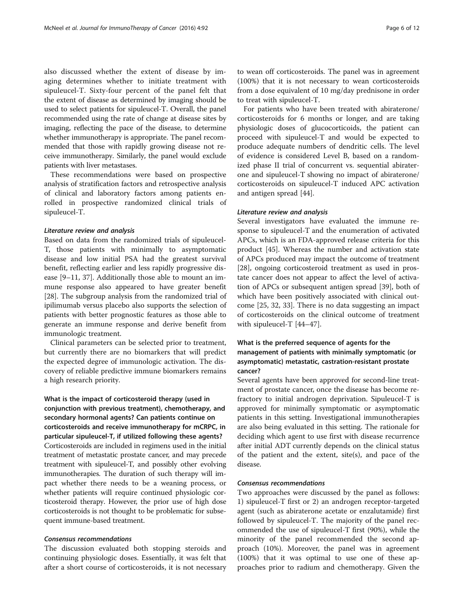also discussed whether the extent of disease by imaging determines whether to initiate treatment with sipuleucel-T. Sixty-four percent of the panel felt that the extent of disease as determined by imaging should be used to select patients for sipuleucel-T. Overall, the panel recommended using the rate of change at disease sites by imaging, reflecting the pace of the disease, to determine whether immunotherapy is appropriate. The panel recommended that those with rapidly growing disease not receive immunotherapy. Similarly, the panel would exclude patients with liver metastases.

These recommendations were based on prospective analysis of stratification factors and retrospective analysis of clinical and laboratory factors among patients enrolled in prospective randomized clinical trials of sipuleucel-T.

#### Literature review and analysis

Based on data from the randomized trials of sipuleucel-T, those patients with minimally to asymptomatic disease and low initial PSA had the greatest survival benefit, reflecting earlier and less rapidly progressive disease [[9](#page-9-0)–[11,](#page-9-0) [37\]](#page-10-0). Additionally those able to mount an immune response also appeared to have greater benefit [[28\]](#page-10-0). The subgroup analysis from the randomized trial of ipilimumab versus placebo also supports the selection of patients with better prognostic features as those able to generate an immune response and derive benefit from immunologic treatment.

Clinical parameters can be selected prior to treatment, but currently there are no biomarkers that will predict the expected degree of immunologic activation. The discovery of reliable predictive immune biomarkers remains a high research priority.

What is the impact of corticosteroid therapy (used in conjunction with previous treatment), chemotherapy, and secondary hormonal agents? Can patients continue on corticosteroids and receive immunotherapy for mCRPC, in particular sipuleucel-T, if utilized following these agents? Corticosteroids are included in regimens used in the initial treatment of metastatic prostate cancer, and may precede treatment with sipuleucel-T, and possibly other evolving immunotherapies. The duration of such therapy will impact whether there needs to be a weaning process, or whether patients will require continued physiologic corticosteroid therapy. However, the prior use of high dose corticosteroids is not thought to be problematic for subsequent immune-based treatment.

## Consensus recommendations

The discussion evaluated both stopping steroids and continuing physiologic doses. Essentially, it was felt that after a short course of corticosteroids, it is not necessary

to wean off corticosteroids. The panel was in agreement (100%) that it is not necessary to wean corticosteroids from a dose equivalent of 10 mg/day prednisone in order to treat with sipuleucel-T.

For patients who have been treated with abiraterone/ corticosteroids for 6 months or longer, and are taking physiologic doses of glucocorticoids, the patient can proceed with sipuleucel-T and would be expected to produce adequate numbers of dendritic cells. The level of evidence is considered Level B, based on a randomized phase II trial of concurrent vs. sequential abiraterone and sipuleucel-T showing no impact of abiraterone/ corticosteroids on sipuleucel-T induced APC activation and antigen spread [[44](#page-10-0)].

## Literature review and analysis

Several investigators have evaluated the immune response to sipuleucel-T and the enumeration of activated APCs, which is an FDA-approved release criteria for this product [\[45\]](#page-10-0). Whereas the number and activation state of APCs produced may impact the outcome of treatment [[28\]](#page-10-0), ongoing corticosteroid treatment as used in prostate cancer does not appear to affect the level of activation of APCs or subsequent antigen spread [\[39\]](#page-10-0), both of which have been positively associated with clinical outcome [\[25, 32, 33\]](#page-10-0). There is no data suggesting an impact of corticosteroids on the clinical outcome of treatment with sipuleucel-T [[44](#page-10-0)–[47](#page-10-0)].

## What is the preferred sequence of agents for the management of patients with minimally symptomatic (or asymptomatic) metastatic, castration-resistant prostate cancer?

Several agents have been approved for second-line treatment of prostate cancer, once the disease has become refractory to initial androgen deprivation. Sipuleucel-T is approved for minimally symptomatic or asymptomatic patients in this setting. Investigational immunotherapies are also being evaluated in this setting. The rationale for deciding which agent to use first with disease recurrence after initial ADT currently depends on the clinical status of the patient and the extent, site(s), and pace of the disease.

## Consensus recommendations

Two approaches were discussed by the panel as follows: 1) sipuleucel-T first or 2) an androgen receptor-targeted agent (such as abiraterone acetate or enzalutamide) first followed by sipuleucel-T. The majority of the panel recommended the use of sipuleucel-T first (90%), while the minority of the panel recommended the second approach (10%). Moreover, the panel was in agreement (100%) that it was optimal to use one of these approaches prior to radium and chemotherapy. Given the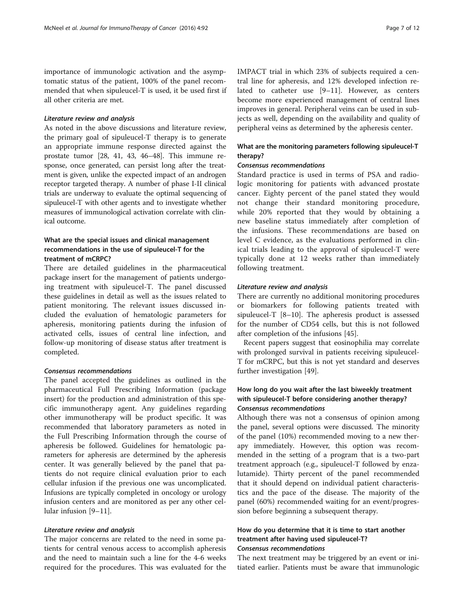importance of immunologic activation and the asymptomatic status of the patient, 100% of the panel recommended that when sipuleucel-T is used, it be used first if all other criteria are met.

## Literature review and analysis

As noted in the above discussions and literature review, the primary goal of sipuleucel-T therapy is to generate an appropriate immune response directed against the prostate tumor [\[28, 41](#page-10-0), [43, 46](#page-10-0)–[48\]](#page-10-0). This immune response, once generated, can persist long after the treatment is given, unlike the expected impact of an androgen receptor targeted therapy. A number of phase I-II clinical trials are underway to evaluate the optimal sequencing of sipuleucel-T with other agents and to investigate whether measures of immunological activation correlate with clinical outcome.

## What are the special issues and clinical management recommendations in the use of sipuleucel-T for the treatment of mCRPC?

There are detailed guidelines in the pharmaceutical package insert for the management of patients undergoing treatment with sipuleucel-T. The panel discussed these guidelines in detail as well as the issues related to patient monitoring. The relevant issues discussed included the evaluation of hematologic parameters for apheresis, monitoring patients during the infusion of activated cells, issues of central line infection, and follow-up monitoring of disease status after treatment is completed.

#### Consensus recommendations

The panel accepted the guidelines as outlined in the pharmaceutical Full Prescribing Information (package insert) for the production and administration of this specific immunotherapy agent. Any guidelines regarding other immunotherapy will be product specific. It was recommended that laboratory parameters as noted in the Full Prescribing Information through the course of apheresis be followed. Guidelines for hematologic parameters for apheresis are determined by the apheresis center. It was generally believed by the panel that patients do not require clinical evaluation prior to each cellular infusion if the previous one was uncomplicated. Infusions are typically completed in oncology or urology infusion centers and are monitored as per any other cellular infusion [\[9](#page-9-0)–[11\]](#page-9-0).

## Literature review and analysis

The major concerns are related to the need in some patients for central venous access to accomplish apheresis and the need to maintain such a line for the 4-6 weeks required for the procedures. This was evaluated for the IMPACT trial in which 23% of subjects required a central line for apheresis, and 12% developed infection related to catheter use [[9](#page-9-0)–[11](#page-9-0)]. However, as centers become more experienced management of central lines improves in general. Peripheral veins can be used in subjects as well, depending on the availability and quality of peripheral veins as determined by the apheresis center.

## What are the monitoring parameters following sipuleucel-T therapy?

## Consensus recommendations

Standard practice is used in terms of PSA and radiologic monitoring for patients with advanced prostate cancer. Eighty percent of the panel stated they would not change their standard monitoring procedure, while 20% reported that they would by obtaining a new baseline status immediately after completion of the infusions. These recommendations are based on level C evidence, as the evaluations performed in clinical trials leading to the approval of sipuleucel-T were typically done at 12 weeks rather than immediately following treatment.

## Literature review and analysis

There are currently no additional monitoring procedures or biomarkers for following patients treated with sipuleucel-T [[8](#page-9-0)–[10\]](#page-9-0). The apheresis product is assessed for the number of CD54 cells, but this is not followed after completion of the infusions [[45\]](#page-10-0).

Recent papers suggest that eosinophilia may correlate with prolonged survival in patients receiving sipuleucel-T for mCRPC, but this is not yet standard and deserves further investigation [[49\]](#page-10-0).

## How long do you wait after the last biweekly treatment with sipuleucel-T before considering another therapy? Consensus recommendations

Although there was not a consensus of opinion among the panel, several options were discussed. The minority of the panel (10%) recommended moving to a new therapy immediately. However, this option was recommended in the setting of a program that is a two-part treatment approach (e.g., sipuleucel-T followed by enzalutamide). Thirty percent of the panel recommended that it should depend on individual patient characteristics and the pace of the disease. The majority of the panel (60%) recommended waiting for an event/progression before beginning a subsequent therapy.

## How do you determine that it is time to start another treatment after having used sipuleucel-T? Consensus recommendations

The next treatment may be triggered by an event or initiated earlier. Patients must be aware that immunologic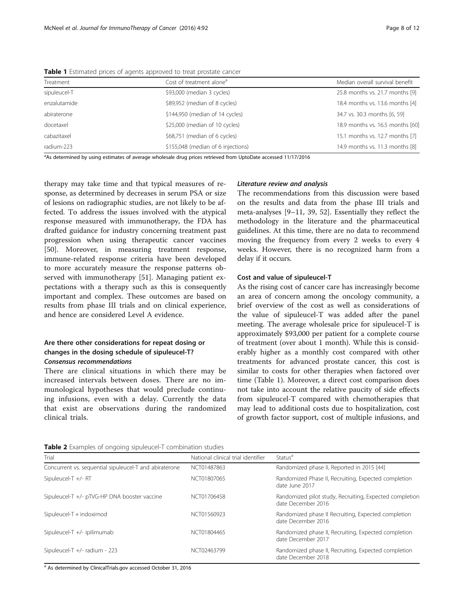| Treatment    | Cost of treatment alone <sup>a</sup> | Median overall survival benefit  |
|--------------|--------------------------------------|----------------------------------|
| sipuleucel-T | \$93,000 (median 3 cycles)           | 25.8 months vs. 21.7 months [9]  |
| enzalutamide | \$89,952 (median of 8 cycles)        | 18.4 months vs. 13.6 months [4]  |
| abiraterone  | \$144,950 (median of 14 cycles)      | 34.7 vs. 30.3 months [6, 59]     |
| docetaxel    | \$25,000 (median of 10 cycles)       | 18.9 months vs. 16.5 months [60] |
| cabazitaxel  | \$68,751 (median of 6 cycles)        | 15.1 months vs. 12.7 months [7]  |
| radium-223   | \$155,048 (median of 6 injections)   | 14.9 months vs. 11.3 months [8]  |

<span id="page-7-0"></span>Table 1 Estimated prices of agents approved to treat prostate cancer

a As determined by using estimates of average wholesale drug prices retrieved from UptoDate accessed 11/17/2016

therapy may take time and that typical measures of response, as determined by decreases in serum PSA or size of lesions on radiographic studies, are not likely to be affected. To address the issues involved with the atypical response measured with immunotherapy, the FDA has drafted guidance for industry concerning treatment past progression when using therapeutic cancer vaccines [[50\]](#page-10-0). Moreover, in measuring treatment response, immune-related response criteria have been developed to more accurately measure the response patterns observed with immunotherapy [\[51](#page-10-0)]. Managing patient expectations with a therapy such as this is consequently important and complex. These outcomes are based on results from phase III trials and on clinical experience, and hence are considered Level A evidence.

## Are there other considerations for repeat dosing or changes in the dosing schedule of sipuleucel-T? Consensus recommendations

There are clinical situations in which there may be increased intervals between doses. There are no immunological hypotheses that would preclude continuing infusions, even with a delay. Currently the data that exist are observations during the randomized clinical trials.

## Literature review and analysis

The recommendations from this discussion were based on the results and data from the phase III trials and meta-analyses [\[9](#page-9-0)–[11](#page-9-0), [39, 52](#page-10-0)]. Essentially they reflect the methodology in the literature and the pharmaceutical guidelines. At this time, there are no data to recommend moving the frequency from every 2 weeks to every 4 weeks. However, there is no recognized harm from a delay if it occurs.

## Cost and value of sipuleucel-T

As the rising cost of cancer care has increasingly become an area of concern among the oncology community, a brief overview of the cost as well as considerations of the value of sipuleucel-T was added after the panel meeting. The average wholesale price for sipuleucel-T is approximately \$93,000 per patient for a complete course of treatment (over about 1 month). While this is considerably higher as a monthly cost compared with other treatments for advanced prostate cancer, this cost is similar to costs for other therapies when factored over time (Table 1). Moreover, a direct cost comparison does not take into account the relative paucity of side effects from sipuleucel-T compared with chemotherapies that may lead to additional costs due to hospitalization, cost of growth factor support, cost of multiple infusions, and

Table 2 Examples of ongoing sipuleucel-T combination studies

| Trial                                                  | National clinical trial identifier | Status <sup>a</sup>                                                           |
|--------------------------------------------------------|------------------------------------|-------------------------------------------------------------------------------|
| Concurrent vs. sequential sipuleucel-T and abiraterone | NCT01487863                        | Randomized phase II, Reported in 2015 [44]                                    |
| Sipuleucel-T $+/- RT$                                  | NCT01807065                        | Randomized Phase II, Recruiting, Expected completion<br>date June 2017        |
| Sipuleucel-T +/- pTVG-HP DNA booster vaccine           | NCT01706458                        | Randomized pilot study, Recruiting, Expected completion<br>date December 2016 |
| Sipuleucel-T + indoximod                               | NCT01560923                        | Randomized phase II Recruiting, Expected completion<br>date December 2016     |
| Sipuleucel-T +/- ipilimumab                            | NCT01804465                        | Randomized phase II, Recruiting, Expected completion<br>date December 2017    |
| Sipuleucel-T +/- radium - 223                          | NCT02463799                        | Randomized phase II, Recruiting, Expected completion<br>date December 2018    |

<sup>a</sup> As determined by ClinicalTrials.gov accessed October 31, 2016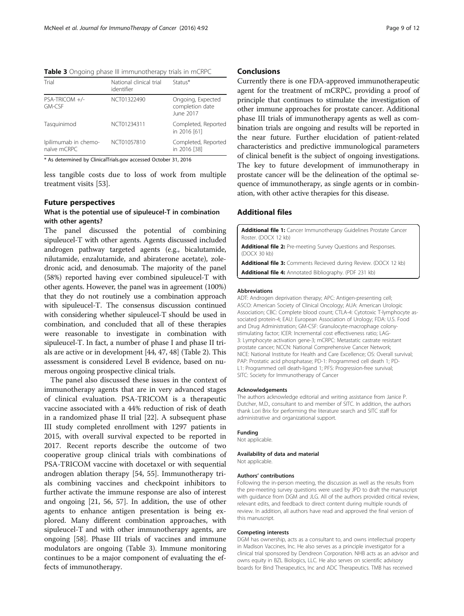<span id="page-8-0"></span>Table 3 Ongoing phase III immunotherapy trials in mCRPC

| Trial                               | National clinical trial<br>identifier | Status*                                           |
|-------------------------------------|---------------------------------------|---------------------------------------------------|
| PSA-TRICOM +/-<br>GM-CSF            | NCT01322490                           | Ongoing, Expected<br>completion date<br>June 2017 |
| Tasquinimod                         | NCT01234311                           | Completed, Reported<br>in 2016 [61]               |
| Ipilimumab in chemo-<br>naïve mCRPC | NCT01057810                           | Completed, Reported<br>in 2016 [38]               |
| .                                   |                                       |                                                   |

\* As determined by ClinicalTrials.gov accessed October 31, 2016

less tangible costs due to loss of work from multiple treatment visits [\[53\]](#page-10-0).

## Future perspectives

## What is the potential use of sipuleucel-T in combination with other agents?

The panel discussed the potential of combining sipuleucel-T with other agents. Agents discussed included androgen pathway targeted agents (e.g., bicalutamide, nilutamide, enzalutamide, and abiraterone acetate), zoledronic acid, and denosumab. The majority of the panel (58%) reported having ever combined sipuleucel-T with other agents. However, the panel was in agreement (100%) that they do not routinely use a combination approach with sipuleucel-T. The consensus discussion continued with considering whether sipuleucel-T should be used in combination, and concluded that all of these therapies were reasonable to investigate in combination with sipuleucel-T. In fact, a number of phase I and phase II trials are active or in development [[44, 47, 48](#page-10-0)] (Table [2](#page-7-0)). This assessment is considered Level B evidence, based on numerous ongoing prospective clinical trials.

The panel also discussed these issues in the context of immunotherapy agents that are in very advanced stages of clinical evaluation. PSA-TRICOM is a therapeutic vaccine associated with a 44% reduction of risk of death in a randomized phase II trial [\[22](#page-10-0)]. A subsequent phase III study completed enrollment with 1297 patients in 2015, with overall survival expected to be reported in 2017. Recent reports describe the outcome of two cooperative group clinical trials with combinations of PSA-TRICOM vaccine with docetaxel or with sequential androgen ablation therapy [[54, 55\]](#page-10-0). Immunotherapy trials combining vaccines and checkpoint inhibitors to further activate the immune response are also of interest and ongoing [[21](#page-9-0), [56, 57\]](#page-10-0). In addition, the use of other agents to enhance antigen presentation is being explored. Many different combination approaches, with sipuleucel-T and with other immunotherapy agents, are ongoing [[58](#page-11-0)]. Phase III trials of vaccines and immune modulators are ongoing (Table 3). Immune monitoring continues to be a major component of evaluating the effects of immunotherapy.

## **Conclusions**

Currently there is one FDA-approved immunotherapeutic agent for the treatment of mCRPC, providing a proof of principle that continues to stimulate the investigation of other immune approaches for prostate cancer. Additional phase III trials of immunotherapy agents as well as combination trials are ongoing and results will be reported in the near future. Further elucidation of patient-related characteristics and predictive immunological parameters of clinical benefit is the subject of ongoing investigations. The key to future development of immunotherapy in prostate cancer will be the delineation of the optimal sequence of immunotherapy, as single agents or in combination, with other active therapies for this disease.

## Additional files

[Additional file 1:](dx.doi.org/10.1186/s40425-016-0198-x) Cancer Immunotherapy Guidelines Prostate Cancer Roster. (DOCX 12 kb)

[Additional file 2:](dx.doi.org/10.1186/s40425-016-0198-x) Pre-meeting Survey Questions and Responses. (DOCX 30 kb)

[Additional file 3:](dx.doi.org/10.1186/s40425-016-0198-x) Comments Recieved during Review. (DOCX 12 kb) [Additional file 4:](dx.doi.org/10.1186/s40425-016-0198-x) Annotated Bibliography. (PDF 231 kb)

#### Abbreviations

ADT: Androgen deprivation therapy; APC: Antigen-presenting cell; ASCO: American Society of Clinical Oncology; AUA: American Urologic Association; CBC: Complete blood count; CTLA-4: Cytotoxic T-lymphocyte associated protein-4; EAU: European Association of Urology; FDA: U.S. Food and Drug Administration; GM-CSF: Granulocyte-macrophage colonystimulating factor; ICER: Incremental cost effectiveness ratio; LAG-3: Lymphocyte activation gene-3; mCRPC: Metastatic castrate resistant prostate cancer; NCCN: National Comprehensive Cancer Network; NICE: National Institute for Health and Care Excellence; OS: Overall survival; PAP: Prostatic acid phosphatase; PD-1: Programmed cell death 1; PD-L1: Programmed cell death-ligand 1; PFS: Progression-free survival; SITC: Society for Immunotherapy of Cancer

#### Acknowledgements

The authors acknowledge editorial and writing assistance from Janice P. Dutcher, M.D., consultant to and member of SITC. In addition, the authors thank Lori Brix for performing the literature search and SITC staff for administrative and organizational support.

#### Funding

Not applicable.

# Availability of data and material

Not applicable.

#### Authors' contributions

Following the in-person meeting, the discussion as well as the results from the pre-meeting survey questions were used by JPD to draft the manuscript with guidance from DGM and JLG. All of the authors provided critical review, relevant edits, and feedback to direct content during multiple rounds of review. In addition, all authors have read and approved the final version of this manuscript.

#### Competing interests

DGM has ownership, acts as a consultant to, and owns intellectual property in Madison Vaccines, Inc. He also serves as a principle investigator for a clinical trial sponsored by Dendreon Corporation. NHB acts as an advisor and owns equity in BZL Biologics, LLC. He also serves on scientific advisory boards for Bind Therapeutics, Inc and ADC Therapeutics. TMB has received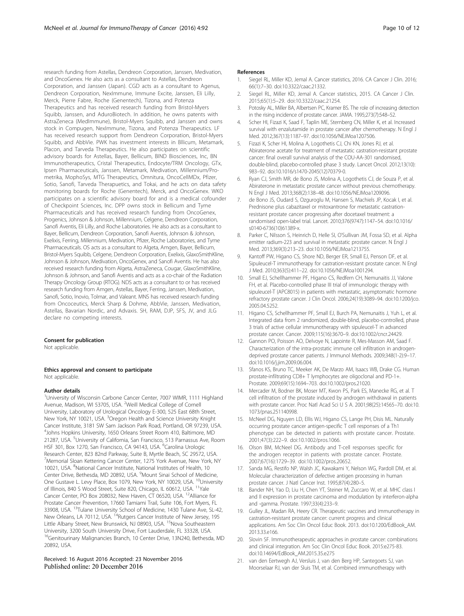<span id="page-9-0"></span>research funding from Astellas, Dendreon Corporation, Janssen, Medivation, and OncoGenex. He also acts as a consultant to Astellas, Dendreon Corporation, and Janssen (Japan). CGD acts as a consultant to Agenus, Dendreon Corporation, NexImmune, Immune Excite, Janssen, Eli Lilly, Merck, Pierre Fabre, Roche (Genentech), Tizona, and Potenza Therapeutics and has received research funding from Bristol-Myers Squibb, Janssen, and AduroBiotech. In addition, he owns patents with AstraZeneca (MedImmune), Bristol-Myers Squibb, and Janssen and owns stock in Compugen, NexImmune, Tizona, and Potenza Therapeutics. LF has received research support from Dendreon Corporation, Bristol-Myers Squibb, and AbbVie. PWK has investment interests in Bllicum, Metamark, Placon, and Tarveda Therapeutics. He also participates on scientific advisory boards for Astellas, Bayer, Bellicum, BIND Biosciences, Inc, BN Immunotherapeutics, Cristal Therapeutics, Endocyte/TRM Oncology, GTx, Ipsen Pharmaceuticals, Janssen, Metamark, Medivation, Millennium/Prometrika, MophoSys, MTG Therapeutics, Omnitura, OncoCellMDx, Pfizer, Sotio, Sanofi, Tarveda Therapuetics, and Tokai, and he acts on data safety monitoring boards for Roche (Genentech), Merck, and OncoGenex. WKO participates on a scientific advisory board for and is a medical cofounder of Checkpoint Sciences, Inc. DPP owns stock in Bellicum and Tyme Pharmaceuticals and has received research funding from OncoGenex, Progenics, Johnson & Johnson, Millennium, Celgene, Dendreon Corporation, Sanofi Aventis, Eli Lilly, and Roche Laboratories. He also acts as a consultant to Bayer, Bellicum, Dendreon Corporation, Sanofi Aventis, Johnson & Johnson, Exelixis, Ferring, Millennium, Medivation, Pfizer, Roche Laboratories, and Tyme Pharmaceuticals. OS acts as a consultant to Algeta, Amgen, Bayer, Bellicum, Bristol-Myers Squibb, Celgene, Dendreon Corporation, Exelixis, GlaxoSmithKline, Johnson & Johnson, Medivation, OncoGenex, and Sanofi Aventis. He has also received research funding from Algeta, AstraZeneca, Cougar, GlaxoSmithKline, Johnson & Johnson, and Sanofi Aventis and acts as a co-chair of the Radiation Therapy Oncology Group (RTOG). NDS acts as a consultant to or has received research funding from Amgen, Astellas, Bayer, Ferring, Janssen, Medivation, Sanofi, Sotio, Inovio, Tolmar, and Valeant. MNS has received research funding from Oncoceutics, Merck Sharp & Dohme, AbbVie, Janssen, Medivation, Astellas, Bavarian Nordic, and Advaxis. SH, RAM, DJP, SFS, JV, and JLG declare no competing interests.

#### Consent for publication

Not applicable.

#### Ethics approval and consent to participate Not applicable.

#### Author details

<sup>1</sup>University of Wisconsin Carbone Cancer Center, 7007 WIMR, 1111 Highland Avenue, Madison, WI 53705, USA. <sup>2</sup>Weill Medical College of Cornell University, Laboratory of Urological Oncology E-300, 525 East 68th Street, New York, NY 10021, USA. <sup>3</sup>Oregon Health and Science University Knight Cancer Institute, 3181 SW Sam Jackson Park Road, Portland, OR 97239, USA. 4 Johns Hopkins University, 1650 Orleans Street Room 410, Baltimore, MD 21287, USA. <sup>5</sup>University of California, San Francisco, 513 Parnassus Ave, Room<br>HSF 301, Box 1270, San Francisco, CA 94143, USA. <sup>6</sup>Carolina Urologic Research Center, 823 82nd Parkway, Suite B, Myrtle Beach, SC 29572, USA. 7 Memorial Sloan Kettering Cancer Center, 1275 York Avenue, New York, NY 10021, USA. <sup>8</sup>National Cancer Institute, National Institutes of Health, 10 Center Drive, Bethesda, MD 20892, USA. <sup>9</sup>Mount Sinai School of Medicine, One Gustave L. Levy Place, Box 1079, New York, NY 10029, USA. <sup>10</sup>University of Illinois, 840 S Wood Street, Suite 820, Chicago, IL 60612, USA. 11Yale Cancer Center, PO Box 208032, New Haven, CT 06520, USA. 12Alliance for Prostate Cancer Prevention, 17660 Tamiami Trail, Suite 106, Fort Myers, FL 33908, USA. <sup>13</sup>Tulane University School of Medicine, 1430 Tulane Ave, SL-42, New Orleans, LA 70112, USA. <sup>14</sup>Rutgers Cancer Institute of New Jersey, 195 Little Albany Street, New Brunswick, NJ 08903, USA. <sup>15</sup>Nova Southeastern University, 3200 South University Drive, Fort Lauderdale, FL 33328, USA. <sup>16</sup>Genitourinary Malignancies Branch, 10 Center Drive, 13N240, Bethesda, MD 20892, USA.

#### Received: 16 August 2016 Accepted: 23 November 2016 Published online: 20 December 2016

#### References

- 1. Siegel RL, Miller KD, Jemal A. Cancer statistics, 2016. CA Cancer J Clin. 2016; 66(1):7–30. doi[:10.3322/caac.21332](http://dx.doi.org/10.3322/caac.21332).
- 2. Siegel RL, Miller KD, Jemal A. Cancer statistics, 2015. CA Cancer J Clin. 2015;65(1):5–29. doi:[10.3322/caac.21254](http://dx.doi.org/10.3322/caac.21254).
- 3. Potosky AL, Miller BA, Albertsen PC, Kramer BS. The role of increasing detection in the rising incidence of prostate cancer. JAMA. 1995;273(7):548–52.
- Scher HI, Fizazi K, Saad F, Taplin ME, Sternberg CN, Miller K, et al. Increased survival with enzalutamide in prostate cancer after chemotherapy. N Engl J Med. 2012;367(13):1187–97. doi[:10.1056/NEJMoa1207506.](http://dx.doi.org/10.1056/NEJMoa1207506)
- Fizazi K, Scher HI, Molina A, Logothetis CJ, Chi KN, Jones RJ, et al. Abiraterone acetate for treatment of metastatic castration-resistant prostate cancer: final overall survival analysis of the COU-AA-301 randomised, double-blind, placebo-controlled phase 3 study. Lancet Oncol. 2012;13(10): 983–92. doi:[10.1016/s1470-2045\(12\)70379-0](http://dx.doi.org/10.1016/s1470-2045(12)70379-0).
- 6. Ryan CJ, Smith MR, de Bono JS, Molina A, Logothetis CJ, de Souza P, et al. Abiraterone in metastatic prostate cancer without previous chemotherapy. N Engl J Med. 2013;368(2):138–48. doi[:10.1056/NEJMoa1209096.](http://dx.doi.org/10.1056/NEJMoa1209096)
- 7. de Bono JS, Oudard S, Ozguroglu M, Hansen S, Machiels JP, Kocak I, et al. Prednisone plus cabazitaxel or mitoxantrone for metastatic castrationresistant prostate cancer progressing after docetaxel treatment: a randomised open-label trial. Lancet. 2010;376(9747):1147–54. doi[:10.1016/](http://dx.doi.org/10.1016/s0140-6736(10)61389-x) [s0140-6736\(10\)61389-x](http://dx.doi.org/10.1016/s0140-6736(10)61389-x).
- 8. Parker C, Nilsson S, Heinrich D, Helle SI, O'Sullivan JM, Fossa SD, et al. Alpha emitter radium-223 and survival in metastatic prostate cancer. N Engl J Med. 2013;369(3):213–23. doi[:10.1056/NEJMoa1213755](http://dx.doi.org/10.1056/NEJMoa1213755).
- Kantoff PW, Higano CS, Shore ND, Berger ER, Small EJ, Penson DF, et al. Sipuleucel-T immunotherapy for castration-resistant prostate cancer. N Engl J Med. 2010;363(5):411–22. doi[:10.1056/NEJMoa1001294.](http://dx.doi.org/10.1056/NEJMoa1001294)
- 10. Small EJ, Schellhammer PF, Higano CS, Redfern CH, Nemunaitis JJ, Valone FH, et al. Placebo-controlled phase III trial of immunologic therapy with sipuleucel-T (APC8015) in patients with metastatic, asymptomatic hormone refractory prostate cancer. J Clin Oncol. 2006;24(19):3089–94. doi:[10.1200/jco.](http://dx.doi.org/10.1200/jco.2005.04.5252) [2005.04.5252](http://dx.doi.org/10.1200/jco.2005.04.5252).
- 11. Higano CS, Schellhammer PF, Small EJ, Burch PA, Nemunaitis J, Yuh L, et al. Integrated data from 2 randomized, double-blind, placebo-controlled, phase 3 trials of active cellular immunotherapy with sipuleucel-T in advanced prostate cancer. Cancer. 2009;115(16):3670–9. doi[:10.1002/cncr.24429.](http://dx.doi.org/10.1002/cncr.24429)
- 12. Gannon PO, Poisson AO, Delvoye N, Lapointe R, Mes-Masson AM, Saad F. Characterization of the intra-prostatic immune cell infiltration in androgendeprived prostate cancer patients. J Immunol Methods. 2009;348(1-2):9–17. doi[:10.1016/j.jim.2009.06.004.](http://dx.doi.org/10.1016/j.jim.2009.06.004)
- 13. Sfanos KS, Bruno TC, Meeker AK, De Marzo AM, Isaacs WB, Drake CG. Human prostate-infiltrating CD8+ T lymphocytes are oligoclonal and PD-1+. Prostate. 2009;69(15):1694–703. doi[:10.1002/pros.21020](http://dx.doi.org/10.1002/pros.21020).
- 14. Mercader M, Bodner BK, Moser MT, Kwon PS, Park ES, Manecke RG, et al. T cell infiltration of the prostate induced by androgen withdrawal in patients with prostate cancer. Proc Natl Acad Sci U S A. 2001;98(25):14565–70. doi[:10.](http://dx.doi.org/10.1073/pnas.251140998) [1073/pnas.251140998](http://dx.doi.org/10.1073/pnas.251140998).
- 15. McNeel DG, Nguyen LD, Ellis WJ, Higano CS, Lange PH, Disis ML. Naturally occurring prostate cancer antigen-specific T cell responses of a Th1 phenotype can be detected in patients with prostate cancer. Prostate. 2001;47(3):222–9. doi[:10.1002/pros.1066.](http://dx.doi.org/10.1002/pros.1066)
- 16. Olson BM, McNeel DG. Antibody and T-cell responses specific for the androgen receptor in patients with prostate cancer. Prostate. 2007;67(16):1729–39. doi:[10.1002/pros.20652.](http://dx.doi.org/10.1002/pros.20652)
- 17. Sanda MG, Restifo NP, Walsh JC, Kawakami Y, Nelson WG, Pardoll DM, et al. Molecular characterization of defective antigen processing in human prostate cancer. J Natl Cancer Inst. 1995;87(4):280–5.
- 18. Bander NH, Yao D, Liu H, Chen YT, Steiner M, Zuccaro W, et al. MHC class I and II expression in prostate carcinoma and modulation by interferon-alpha and -gamma. Prostate. 1997;33(4):233–9.
- 19. Gulley JL, Madan RA, Heery CR. Therapeutic vaccines and immunotherapy in castration-resistant prostate cancer: current progress and clinical applications. Am Soc Clin Oncol Educ Book. 2013. doi[:10.1200/EdBook\\_AM.](http://dx.doi.org/10.1200/EdBook_AM.2013.33.e166) [2013.33.e166](http://dx.doi.org/10.1200/EdBook_AM.2013.33.e166).
- 20. Slovin SF. Immunotherapeutic approaches in prostate cancer: combinations and clinical integration. Am Soc Clin Oncol Educ Book. 2015:e275-83. doi[:10.14694/EdBook\\_AM.2015.35.e275](http://dx.doi.org/10.14694/EdBook_AM.2015.35.e275)
- 21. van den Eertwegh AJ, Versluis J, van den Berg HP, Santegoets SJ, van Moorselaar RJ, van der Sluis TM, et al. Combined immunotherapy with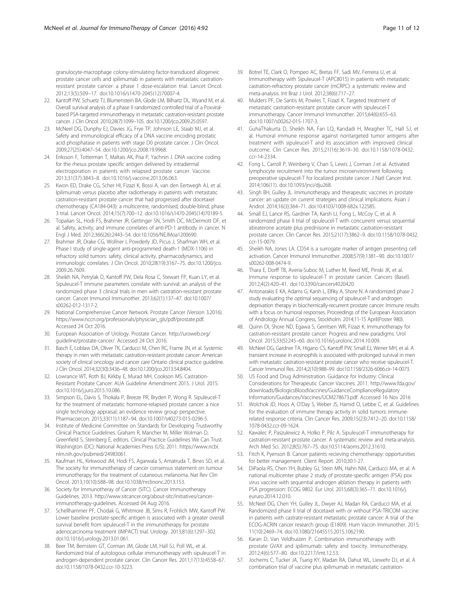<span id="page-10-0"></span>granulocyte-macrophage colony-stimulating factor-transduced allogeneic prostate cancer cells and ipilimumab in patients with metastatic castrationresistant prostate cancer: a phase 1 dose-escalation trial. Lancet Oncol. 2012;13(5):509–17. doi:[10.1016/s1470-2045\(12\)70007-4](http://dx.doi.org/10.1016/s1470-2045(12)70007-4).

- 22. Kantoff PW, Schuetz TJ, Blumenstein BA, Glode LM, Bilhartz DL, Wyand M, et al. Overall survival analysis of a phase II randomized controlled trial of a Poxviralbased PSA-targeted immunotherapy in metastatic castration-resistant prostate cancer. J Clin Oncol. 2010;28(7):1099–105. doi:[10.1200/jco.2009.25.0597.](http://dx.doi.org/10.1200/jco.2009.25.0597)
- 23. McNeel DG, Dunphy EJ, Davies JG, Frye TP, Johnson LE, Staab MJ, et al. Safety and immunological efficacy of a DNA vaccine encoding prostatic acid phosphatase in patients with stage D0 prostate cancer. J Clin Oncol. 2009;27(25):4047–54. doi:[10.1200/jco.2008.19.9968.](http://dx.doi.org/10.1200/jco.2008.19.9968)
- 24. Eriksson F, Totterman T, Maltais AK, Pisa P, Yachnin J. DNA vaccine coding for the rhesus prostate specific antigen delivered by intradermal electroporation in patients with relapsed prostate cancer. Vaccine. 2013;31(37):3843–8. doi:[10.1016/j.vaccine.2013.06.063](http://dx.doi.org/10.1016/j.vaccine.2013.06.063).
- 25. Kwon ED, Drake CG, Scher HI, Fizazi K, Bossi A, van den Eertwegh AJ, et al. Ipilimumab versus placebo after radiotherapy in patients with metastatic castration-resistant prostate cancer that had progressed after docetaxel chemotherapy (CA184-043): a multicentre, randomised, double-blind, phase 3 trial. Lancet Oncol. 2014;15(7):700–12. doi[:10.1016/s1470-2045\(14\)70189-5.](http://dx.doi.org/10.1016/s1470-2045(14)70189-5)
- 26. Topalian SL, Hodi FS, Brahmer JR, Gettinger SN, Smith DC, McDermott DF, et al. Safety, activity, and immune correlates of anti-PD-1 antibody in cancer. N Engl J Med. 2012;366(26):2443–54. doi[:10.1056/NEJMoa1200690](http://dx.doi.org/10.1056/NEJMoa1200690).
- 27. Brahmer JR, Drake CG, Wollner I, Powderly JD, Picus J, Sharfman WH, et al. Phase I study of single-agent anti-programmed death-1 (MDX-1106) in refractory solid tumors: safety, clinical activity, pharmacodynamics, and immunologic correlates. J Clin Oncol. 2010;28(19):3167–75. doi[:10.1200/jco.](http://dx.doi.org/10.1200/jco.2009.26.7609) [2009.26.7609](http://dx.doi.org/10.1200/jco.2009.26.7609).
- 28. Sheikh NA, Petrylak D, Kantoff PW, Dela Rosa C, Stewart FP, Kuan LY, et al. Sipuleucel-T immune parameters correlate with survival: an analysis of the randomized phase 3 clinical trials in men with castration-resistant prostate cancer. Cancer Immunol Immunother. 2013;62(1):137–47. doi:[10.1007/](http://dx.doi.org/10.1007/s00262-012-1317-2) [s00262-012-1317-2.](http://dx.doi.org/10.1007/s00262-012-1317-2)
- 29. National Comprehensive Cancer Network. Prostate Cancer (Version 3.2016). [https://www.nccn.org/professionals/physician\\_gls/pdf/prostate.pdf](https://www.nccn.org/professionals/physician_gls/pdf/prostate.pdf). Accessed 24 Oct 2016.
- 30. European Association of Urology. Prostate Cancer. [http://uroweb.org/](http://uroweb.org/guideline/prostate-cancer/) [guideline/prostate-cancer/](http://uroweb.org/guideline/prostate-cancer/). Accessed 24 Oct 2016.
- 31. Basch E, Loblaw DA, Oliver TK, Carducci M, Chen RC, Frame JN, et al. Systemic therapy in men with metastatic castration-resistant prostate cancer: American society of clinical oncology and cancer care Ontario clinical practice guideline. J Clin Oncol. 2014;32(30):3436–48. doi[:10.1200/jco.2013.54.8404](http://dx.doi.org/10.1200/jco.2013.54.8404).
- 32. Lowrance WT, Roth BJ, Kirkby E, Murad MH, Cookson MS. Castration-Resistant Prostate Cancer: AUA Guideline Amendment 2015. J Urol. 2015. doi[:10.1016/j.juro.2015.10.086](http://dx.doi.org/10.1016/j.juro.2015.10.086).
- 33. Simpson EL, Davis S, Thokala P, Breeze PR, Bryden P, Wong R. Sipuleucel-T for the treatment of metastatic hormone-relapsed prostate cancer: a nice single technology appraisal; an evidence review group perspective. Pharmacoecon. 2015;33(11):1187–94. doi:[10.1007/s40273-015-0296-5.](http://dx.doi.org/10.1007/s40273-015-0296-5)
- 34. Institute of Medicine Committee on Standards for Developing Trustworthy Clinical Practice Guidelines. Graham R, Mancher M, Miller Wolman D, Greenfield S, Steinberg E, editors. Clinical Practice Guidelines We Can Trust. Washington (DC): National Academies Press (US); 2011. [https://www.ncbi.](https://www.ncbi.nlm.nih.gov/pubmed/24983061) [nlm.nih.gov/pubmed/24983061.](https://www.ncbi.nlm.nih.gov/pubmed/24983061)
- 35. Kaufman HL, Kirkwood JM, Hodi FS, Agarwala S, Amatruda T, Bines SD, et al. The society for immunotherapy of cancer consensus statement on tumour immunotherapy for the treatment of cutaneous melanoma. Nat Rev Clin Oncol. 2013;10(10):588–98. doi:[10.1038/nrclinonc.2013.153](http://dx.doi.org/10.1038/nrclinonc.2013.153).
- 36. Society for Immunotheray of Cancer (SITC). Cancer Immunotherapy Guidelines. 2013. [http://www.sitcancer.org/about-sitc/initiatives/cancer](http://www.sitcancer.org/about-sitc/initiatives/cancer-immunotherapy-guidelines)[immunotherapy-guidelines.](http://www.sitcancer.org/about-sitc/initiatives/cancer-immunotherapy-guidelines) Accessed 04 Aug 2016.
- 37. Schellhammer PF, Chodak G, Whitmore JB, Sims R, Frohlich MW, Kantoff PW. Lower baseline prostate-specific antigen is associated with a greater overall survival benefit from sipuleucel-T in the immunotherapy for prostate adenocarcinoma treatment (IMPACT) trial. Urology. 2013;81(6):1297–302. doi[:10.1016/j.urology.2013.01.061.](http://dx.doi.org/10.1016/j.urology.2013.01.061)
- 38. Beer TM, Bernstein GT, Corman JM, Glode LM, Hall SJ, Poll WL, et al. Randomized trial of autologous cellular immunotherapy with sipuleucel-T in androgen-dependent prostate cancer. Clin Cancer Res. 2011;17(13):4558–67. doi[:10.1158/1078-0432.ccr-10-3223.](http://dx.doi.org/10.1158/1078-0432.ccr-10-3223)
- 39. Botrel TE, Clark O, Pompeo AC, Bretas FF, Sadi MV, Ferreira U, et al. Immunotherapy with Sipuleucel-T (APC8015) in patients with metastatic castration-refractory prostate cancer (mCRPC): a systematic review and meta-analysis. Int Braz J Urol. 2012;38(6):717–27.
- 40. Mulders PF, De Santis M, Powles T, Fizazi K. Targeted treatment of metastatic castration-resistant prostate cancer with sipuleucel-T immunotherapy. Cancer Immunol Immunother. 2015;64(6):655–63. doi[:10.1007/s00262-015-1707-3](http://dx.doi.org/10.1007/s00262-015-1707-3).
- 41. GuhaThakurta D, Sheikh NA, Fan LQ, Kandadi H, Meagher TC, Hall SJ, et al. Humoral immune response against nontargeted tumor antigens after treatment with sipuleucel-T and its association with improved clinical outcome. Clin Cancer Res. 2015;21(16):3619–30. doi:[10.1158/1078-0432.](http://dx.doi.org/10.1158/1078-0432.ccr-14-2334) [ccr-14-2334.](http://dx.doi.org/10.1158/1078-0432.ccr-14-2334)
- 42. Fong L, Carroll P, Weinberg V, Chan S, Lewis J, Corman J et al. Activated lymphocyte recruitment into the tumor microenvironment following preoperative sipuleucel-T for localized prostate cancer. J Natl Cancer Inst. 2014;106(11). doi:[10.1093/jnci/dju268.](http://dx.doi.org/10.1093/jnci/dju268)
- 43. Singh BH, Gulley JL. Immunotherapy and therapeutic vaccines in prostate cancer: an update on current strategies and clinical implications. Asian J Androl. 2014;16(3):364–71. doi[:10.4103/1008-682x.122585](http://dx.doi.org/10.4103/1008-682x.122585).
- 44. Small EJ, Lance RS, Gardner TA, Karsh LI, Fong L, McCoy C, et al. A randomized phase II trial of sipuleucel-T with concurrent versus sequential abiraterone acetate plus prednisone in metastatic castration-resistant prostate cancer. Clin Cancer Res. 2015;21(17):3862–9. doi[:10.1158/1078-0432.](http://dx.doi.org/10.1158/1078-0432.ccr-15-0079) [ccr-15-0079.](http://dx.doi.org/10.1158/1078-0432.ccr-15-0079)
- 45. Sheikh NA, Jones LA. CD54 is a surrogate marker of antigen presenting cell activation. Cancer Immunol Immunother. 2008;57(9):1381–90. doi:[10.1007/](http://dx.doi.org/10.1007/s00262-008-0474-9) [s00262-008-0474-9.](http://dx.doi.org/10.1007/s00262-008-0474-9)
- 46. Thara E, Dorff TB, Averia-Suboc M, Luther M, Reed ME, Pinski JK, et al. Immune response to sipuleucel-T in prostate cancer. Cancers (Basel). 2012;4(2):420–41. doi[:10.3390/cancers4020420](http://dx.doi.org/10.3390/cancers4020420).
- 47. Antonarakis E KA, Adams G, Karsh L, Elfiky A, Shore N. A randomized phase 2 study evaluating the optimal sequencing of sipuleucel-T and androgen deprivation therapy in biochemically-recurrent prostate cancer: Immune results with a focus on humoral responses. Proceedings of the European Association of Andrology Annual Congress, Stockholm. 2014;11-15 April(Poster 980).
- 48. Quinn DI, Shore ND, Egawa S, Gerritsen WR, Fizazi K. Immunotherapy for castration-resistant prostate cancer: Progress and new paradigms. Urol Oncol. 2015;33(5):245–60. doi[:10.1016/j.urolonc.2014.10.009.](http://dx.doi.org/10.1016/j.urolonc.2014.10.009)
- 49. McNeel DG, Gardner TA, Higano CS, Kantoff PW, Small EJ, Wener MH, et al. A transient increase in eosinophils is associated with prolonged survival in men with metastatic castration-resistant prostate cancer who receive sipuleucel-T. Cancer Immunol Res. 2014;2(10):988–99. doi[:10.1158/2326-6066.cir-14-0073.](http://dx.doi.org/10.1158/2326-6066.cir-14-0073)
- 50. US Food and Drug Administration. Guidance for Industry: Clinical Considerations for Therapeutic Cancer Vaccines. 2011. [http://www.fda.gov/](http://www.fda.gov/downloads/BiologicsBloodVaccines/GuidanceComplianceRegulatoryInformation/Guidances/Vaccines/UCM278673.pdf) [downloads/BiologicsBloodVaccines/GuidanceComplianceRegulatory](http://www.fda.gov/downloads/BiologicsBloodVaccines/GuidanceComplianceRegulatoryInformation/Guidances/Vaccines/UCM278673.pdf) [Information/Guidances/Vaccines/UCM278673.pdf](http://www.fda.gov/downloads/BiologicsBloodVaccines/GuidanceComplianceRegulatoryInformation/Guidances/Vaccines/UCM278673.pdf). Accessed 16 Nov 2016
- 51. Wolchok JD, Hoos A, O'Day S, Weber JS, Hamid O, Lebbe C, et al. Guidelines for the evaluation of immune therapy activity in solid tumors: immunerelated response criteria. Clin Cancer Res. 2009;15(23):7412–20. doi:[10.1158/](http://dx.doi.org/10.1158/1078-0432.ccr-09-1624) [1078-0432.ccr-09-1624](http://dx.doi.org/10.1158/1078-0432.ccr-09-1624).
- 52. Kawalec P, Paszulewicz A, Holko P, Pilc A. Sipuleucel-T immunotherapy for castration-resistant prostate cancer. A systematic review and meta-analysis. Arch Med Sci. 2012;8(5):767–75. doi:[10.5114/aoms.2012.31610](http://dx.doi.org/10.5114/aoms.2012.31610).
- 53. Fitch K, Pyenson B. Cancer patients recieving chemotherapy: opportunities for better management. Client Report. 2010;30:1-27.
- 54. DiPaola RS, Chen YH, Bubley GJ, Stein MN, Hahn NM, Carducci MA, et al. A national multicenter phase 2 study of prostate-specific antigen (PSA) pox virus vaccine with sequential androgen ablation therapy in patients with PSA progression: ECOG 9802. Eur Urol. 2015;68(3):365–71. doi:[10.1016/j.](http://dx.doi.org/10.1016/j.eururo.2014.12.010) [eururo.2014.12.010.](http://dx.doi.org/10.1016/j.eururo.2014.12.010)
- 55. McNeel DG, Chen YH, Gulley JL, Dwyer AJ, Madan RA, Carducci MA, et al. Randomized phase II trial of docetaxel with or without PSA-TRICOM vaccine in patients with castrate-resistant metastatic prostate cancer: A trial of the ECOG-ACRIN cancer research group (E1809). Hum Vaccin Immunother. 2015; 11(10):2469–74. doi:[10.1080/21645515.2015.1062190](http://dx.doi.org/10.1080/21645515.2015.1062190).
- 56. Karan D, Van Veldhuizen P. Combination immunotherapy with prostate GVAX and ipilimumab: safety and toxicity. Immunotherapy. 2012;4(6):577–80. doi[:10.2217/imt.12.53](http://dx.doi.org/10.2217/imt.12.53).
- 57. Jochems C, Tucker JA, Tsang KY, Madan RA, Dahut WL, Liewehr DJ, et al. A combination trial of vaccine plus ipilimumab in metastatic castration-